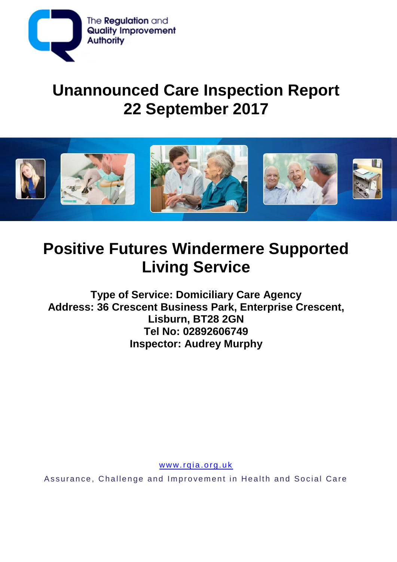

# **Unannounced Care Inspection Report 22 September 2017**



# **Positive Futures Windermere Supported Living Service**

**Type of Service: Domiciliary Care Agency Address: 36 Crescent Business Park, Enterprise Crescent, Lisburn, BT28 2GN Tel No: 02892606749 Inspector: Audrey Murphy**

www.rqia.org.uk

Assurance, Challenge and Improvement in Health and Social Care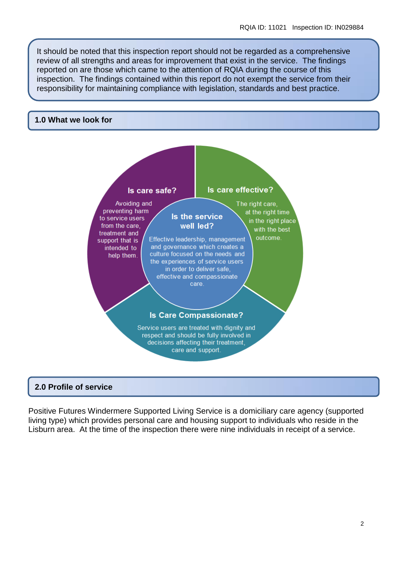It should be noted that this inspection report should not be regarded as a comprehensive review of all strengths and areas for improvement that exist in the service. The findings reported on are those which came to the attention of RQIA during the course of this inspection. The findings contained within this report do not exempt the service from their responsibility for maintaining compliance with legislation, standards and best practice.

#### **1.0 What we look for**



#### **2.0 Profile of service**

Positive Futures Windermere Supported Living Service is a domiciliary care agency (supported living type) which provides personal care and housing support to individuals who reside in the Lisburn area. At the time of the inspection there were nine individuals in receipt of a service.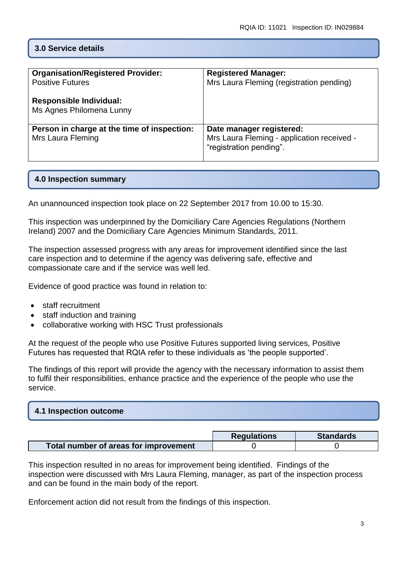# **3.0 Service details**

| <b>Organisation/Registered Provider:</b><br><b>Positive Futures</b><br><b>Responsible Individual:</b><br>Ms Agnes Philomena Lunny | <b>Registered Manager:</b><br>Mrs Laura Fleming (registration pending)                            |
|-----------------------------------------------------------------------------------------------------------------------------------|---------------------------------------------------------------------------------------------------|
| Person in charge at the time of inspection:<br>Mrs Laura Fleming                                                                  | Date manager registered:<br>Mrs Laura Fleming - application received -<br>"registration pending". |

### **4.0 Inspection summary**

An unannounced inspection took place on 22 September 2017 from 10.00 to 15:30.

This inspection was underpinned by the Domiciliary Care Agencies Regulations (Northern Ireland) 2007 and the Domiciliary Care Agencies Minimum Standards, 2011.

The inspection assessed progress with any areas for improvement identified since the last care inspection and to determine if the agency was delivering safe, effective and compassionate care and if the service was well led.

Evidence of good practice was found in relation to:

- staff recruitment
- staff induction and training
- collaborative working with HSC Trust professionals

At the request of the people who use Positive Futures supported living services, Positive Futures has requested that RQIA refer to these individuals as 'the people supported'.

The findings of this report will provide the agency with the necessary information to assist them to fulfil their responsibilities, enhance practice and the experience of the people who use the service.

# **4.1 Inspection outcome**

|                                       | <b>Regulations</b> | <b>Standards</b> |
|---------------------------------------|--------------------|------------------|
| Total number of areas for improvement |                    |                  |

This inspection resulted in no areas for improvement being identified. Findings of the inspection were discussed with Mrs Laura Fleming, manager, as part of the inspection process and can be found in the main body of the report.

Enforcement action did not result from the findings of this inspection.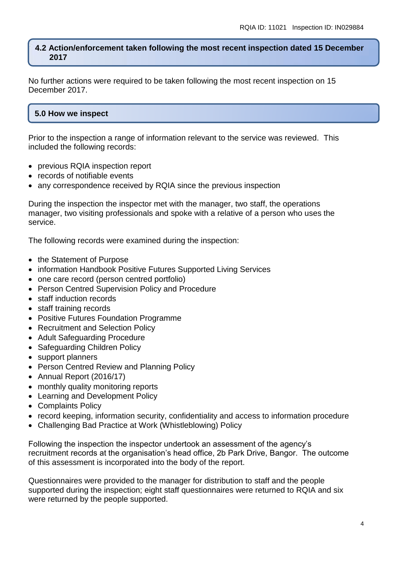#### **4.2 Action/enforcement taken following the most recent inspection dated 15 December 2017**

No further actions were required to be taken following the most recent inspection on 15 December 2017.

## **5.0 How we inspect**

Prior to the inspection a range of information relevant to the service was reviewed. This included the following records:

- previous RQIA inspection report
- records of notifiable events
- any correspondence received by RQIA since the previous inspection

During the inspection the inspector met with the manager, two staff, the operations manager, two visiting professionals and spoke with a relative of a person who uses the service.

The following records were examined during the inspection:

- the Statement of Purpose
- information Handbook Positive Futures Supported Living Services
- one care record (person centred portfolio)
- Person Centred Supervision Policy and Procedure
- staff induction records
- staff training records
- Positive Futures Foundation Programme
- Recruitment and Selection Policy
- Adult Safeguarding Procedure
- Safeguarding Children Policy
- support planners
- Person Centred Review and Planning Policy
- Annual Report (2016/17)
- monthly quality monitoring reports
- Learning and Development Policy
- Complaints Policy
- record keeping, information security, confidentiality and access to information procedure
- Challenging Bad Practice at Work (Whistleblowing) Policy

Following the inspection the inspector undertook an assessment of the agency's recruitment records at the organisation's head office, 2b Park Drive, Bangor. The outcome of this assessment is incorporated into the body of the report.

Questionnaires were provided to the manager for distribution to staff and the people supported during the inspection; eight staff questionnaires were returned to RQIA and six were returned by the people supported.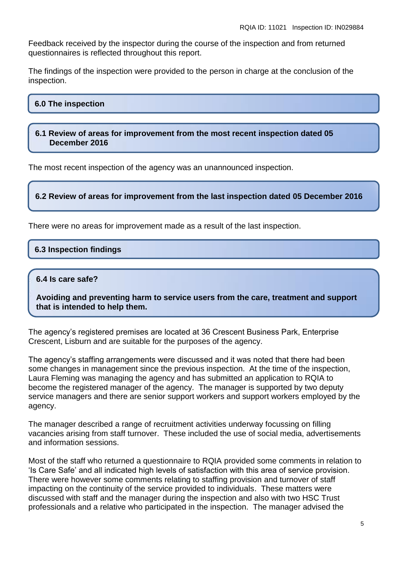Feedback received by the inspector during the course of the inspection and from returned questionnaires is reflected throughout this report.

The findings of the inspection were provided to the person in charge at the conclusion of the inspection.

#### **6.0 The inspection**

**6.1 Review of areas for improvement from the most recent inspection dated 05 December 2016**

The most recent inspection of the agency was an unannounced inspection.

**6.2 Review of areas for improvement from the last inspection dated 05 December 2016**

There were no areas for improvement made as a result of the last inspection.

#### **6.3 Inspection findings**

#### **6.4 Is care safe?**

**Avoiding and preventing harm to service users from the care, treatment and support that is intended to help them.**

The agency's registered premises are located at 36 Crescent Business Park, Enterprise Crescent, Lisburn and are suitable for the purposes of the agency.

The agency's staffing arrangements were discussed and it was noted that there had been some changes in management since the previous inspection. At the time of the inspection, Laura Fleming was managing the agency and has submitted an application to RQIA to become the registered manager of the agency. The manager is supported by two deputy service managers and there are senior support workers and support workers employed by the agency.

The manager described a range of recruitment activities underway focussing on filling vacancies arising from staff turnover. These included the use of social media, advertisements and information sessions.

Most of the staff who returned a questionnaire to RQIA provided some comments in relation to 'Is Care Safe' and all indicated high levels of satisfaction with this area of service provision. There were however some comments relating to staffing provision and turnover of staff impacting on the continuity of the service provided to individuals. These matters were discussed with staff and the manager during the inspection and also with two HSC Trust professionals and a relative who participated in the inspection. The manager advised the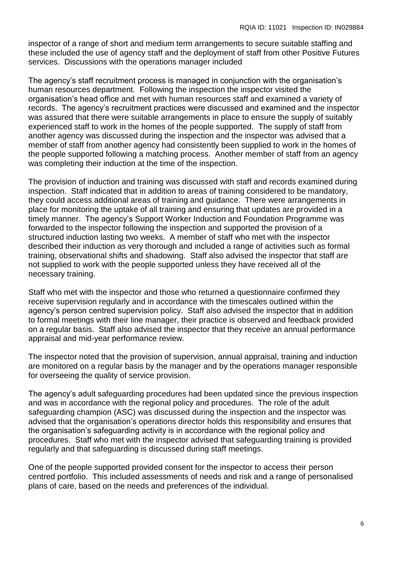inspector of a range of short and medium term arrangements to secure suitable staffing and these included the use of agency staff and the deployment of staff from other Positive Futures services. Discussions with the operations manager included

The agency's staff recruitment process is managed in conjunction with the organisation's human resources department. Following the inspection the inspector visited the organisation's head office and met with human resources staff and examined a variety of records. The agency's recruitment practices were discussed and examined and the inspector was assured that there were suitable arrangements in place to ensure the supply of suitably experienced staff to work in the homes of the people supported. The supply of staff from another agency was discussed during the inspection and the inspector was advised that a member of staff from another agency had consistently been supplied to work in the homes of the people supported following a matching process. Another member of staff from an agency was completing their induction at the time of the inspection.

The provision of induction and training was discussed with staff and records examined during inspection. Staff indicated that in addition to areas of training considered to be mandatory, they could access additional areas of training and guidance. There were arrangements in place for monitoring the uptake of all training and ensuring that updates are provided in a timely manner. The agency's Support Worker Induction and Foundation Programme was forwarded to the inspector following the inspection and supported the provision of a structured induction lasting two weeks. A member of staff who met with the inspector described their induction as very thorough and included a range of activities such as formal training, observational shifts and shadowing. Staff also advised the inspector that staff are not supplied to work with the people supported unless they have received all of the necessary training.

Staff who met with the inspector and those who returned a questionnaire confirmed they receive supervision regularly and in accordance with the timescales outlined within the agency's person centred supervision policy. Staff also advised the inspector that in addition to formal meetings with their line manager, their practice is observed and feedback provided on a regular basis. Staff also advised the inspector that they receive an annual performance appraisal and mid-year performance review.

The inspector noted that the provision of supervision, annual appraisal, training and induction are monitored on a regular basis by the manager and by the operations manager responsible for overseeing the quality of service provision.

The agency's adult safeguarding procedures had been updated since the previous inspection and was in accordance with the regional policy and procedures. The role of the adult safeguarding champion (ASC) was discussed during the inspection and the inspector was advised that the organisation's operations director holds this responsibility and ensures that the organisation's safeguarding activity is in accordance with the regional policy and procedures. Staff who met with the inspector advised that safeguarding training is provided regularly and that safeguarding is discussed during staff meetings.

One of the people supported provided consent for the inspector to access their person centred portfolio. This included assessments of needs and risk and a range of personalised plans of care, based on the needs and preferences of the individual.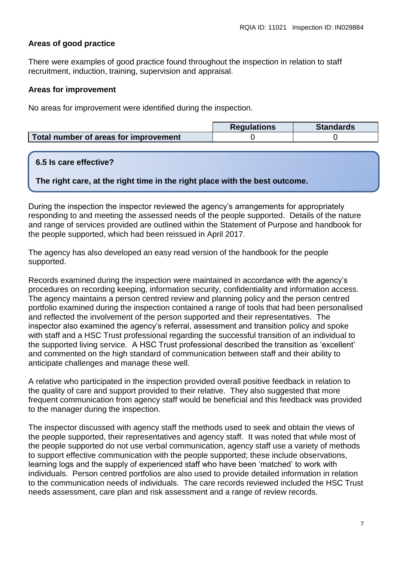## **Areas of good practice**

There were examples of good practice found throughout the inspection in relation to staff recruitment, induction, training, supervision and appraisal.

#### **Areas for improvement**

No areas for improvement were identified during the inspection.

|                                       | <b>Requlations</b> | <b>Standards</b> |
|---------------------------------------|--------------------|------------------|
| Total number of areas for improvement |                    |                  |

#### **6.5 Is care effective?**

**The right care, at the right time in the right place with the best outcome.**

During the inspection the inspector reviewed the agency's arrangements for appropriately responding to and meeting the assessed needs of the people supported. Details of the nature and range of services provided are outlined within the Statement of Purpose and handbook for the people supported, which had been reissued in April 2017.

The agency has also developed an easy read version of the handbook for the people supported.

Records examined during the inspection were maintained in accordance with the agency's procedures on recording keeping, information security, confidentiality and information access. The agency maintains a person centred review and planning policy and the person centred portfolio examined during the inspection contained a range of tools that had been personalised and reflected the involvement of the person supported and their representatives. The inspector also examined the agency's referral, assessment and transition policy and spoke with staff and a HSC Trust professional regarding the successful transition of an individual to the supported living service. A HSC Trust professional described the transition as 'excellent' and commented on the high standard of communication between staff and their ability to anticipate challenges and manage these well.

A relative who participated in the inspection provided overall positive feedback in relation to the quality of care and support provided to their relative. They also suggested that more frequent communication from agency staff would be beneficial and this feedback was provided to the manager during the inspection.

The inspector discussed with agency staff the methods used to seek and obtain the views of the people supported, their representatives and agency staff. It was noted that while most of the people supported do not use verbal communication, agency staff use a variety of methods to support effective communication with the people supported; these include observations, learning logs and the supply of experienced staff who have been 'matched' to work with individuals. Person centred portfolios are also used to provide detailed information in relation to the communication needs of individuals. The care records reviewed included the HSC Trust needs assessment, care plan and risk assessment and a range of review records.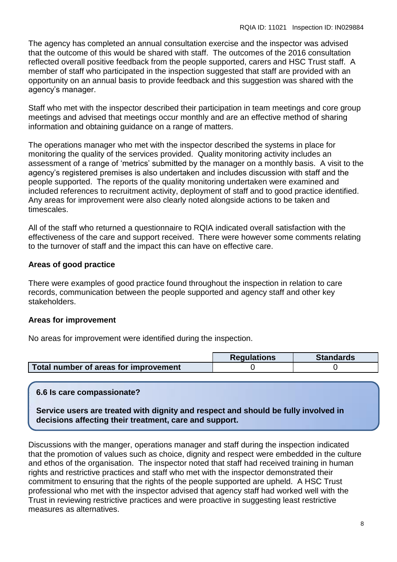The agency has completed an annual consultation exercise and the inspector was advised that the outcome of this would be shared with staff. The outcomes of the 2016 consultation reflected overall positive feedback from the people supported, carers and HSC Trust staff. A member of staff who participated in the inspection suggested that staff are provided with an opportunity on an annual basis to provide feedback and this suggestion was shared with the agency's manager.

Staff who met with the inspector described their participation in team meetings and core group meetings and advised that meetings occur monthly and are an effective method of sharing information and obtaining guidance on a range of matters.

The operations manager who met with the inspector described the systems in place for monitoring the quality of the services provided. Quality monitoring activity includes an assessment of a range of 'metrics' submitted by the manager on a monthly basis. A visit to the agency's registered premises is also undertaken and includes discussion with staff and the people supported. The reports of the quality monitoring undertaken were examined and included references to recruitment activity, deployment of staff and to good practice identified. Any areas for improvement were also clearly noted alongside actions to be taken and timescales.

All of the staff who returned a questionnaire to RQIA indicated overall satisfaction with the effectiveness of the care and support received. There were however some comments relating to the turnover of staff and the impact this can have on effective care.

# **Areas of good practice**

There were examples of good practice found throughout the inspection in relation to care records, communication between the people supported and agency staff and other key stakeholders.

# **Areas for improvement**

No areas for improvement were identified during the inspection.

|                                       | <b>Requlations</b> | <b>Standards</b> |
|---------------------------------------|--------------------|------------------|
| Total number of areas for improvement |                    |                  |

# **6.6 Is care compassionate?**

**Service users are treated with dignity and respect and should be fully involved in decisions affecting their treatment, care and support.**

Discussions with the manger, operations manager and staff during the inspection indicated that the promotion of values such as choice, dignity and respect were embedded in the culture and ethos of the organisation. The inspector noted that staff had received training in human rights and restrictive practices and staff who met with the inspector demonstrated their commitment to ensuring that the rights of the people supported are upheld. A HSC Trust professional who met with the inspector advised that agency staff had worked well with the Trust in reviewing restrictive practices and were proactive in suggesting least restrictive measures as alternatives.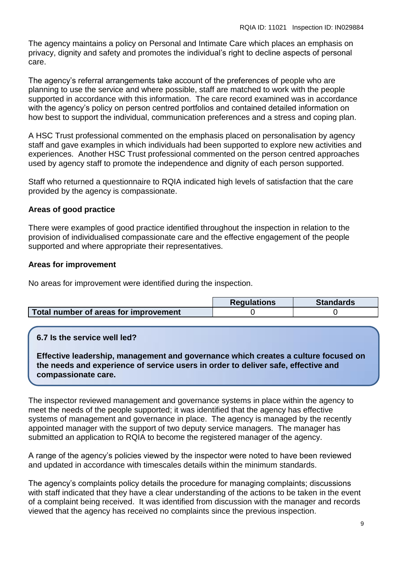The agency maintains a policy on Personal and Intimate Care which places an emphasis on privacy, dignity and safety and promotes the individual's right to decline aspects of personal care.

The agency's referral arrangements take account of the preferences of people who are planning to use the service and where possible, staff are matched to work with the people supported in accordance with this information. The care record examined was in accordance with the agency's policy on person centred portfolios and contained detailed information on how best to support the individual, communication preferences and a stress and coping plan.

A HSC Trust professional commented on the emphasis placed on personalisation by agency staff and gave examples in which individuals had been supported to explore new activities and experiences. Another HSC Trust professional commented on the person centred approaches used by agency staff to promote the independence and dignity of each person supported.

Staff who returned a questionnaire to RQIA indicated high levels of satisfaction that the care provided by the agency is compassionate.

# **Areas of good practice**

There were examples of good practice identified throughout the inspection in relation to the provision of individualised compassionate care and the effective engagement of the people supported and where appropriate their representatives.

# **Areas for improvement**

No areas for improvement were identified during the inspection.

|                                       | <b>Requlations</b> | <b>Standards</b> |
|---------------------------------------|--------------------|------------------|
| Total number of areas for improvement |                    |                  |

# **6.7 Is the service well led?**

**Effective leadership, management and governance which creates a culture focused on the needs and experience of service users in order to deliver safe, effective and compassionate care.**

The inspector reviewed management and governance systems in place within the agency to meet the needs of the people supported; it was identified that the agency has effective systems of management and governance in place. The agency is managed by the recently appointed manager with the support of two deputy service managers. The manager has submitted an application to RQIA to become the registered manager of the agency.

A range of the agency's policies viewed by the inspector were noted to have been reviewed and updated in accordance with timescales details within the minimum standards.

The agency's complaints policy details the procedure for managing complaints; discussions with staff indicated that they have a clear understanding of the actions to be taken in the event of a complaint being received. It was identified from discussion with the manager and records viewed that the agency has received no complaints since the previous inspection.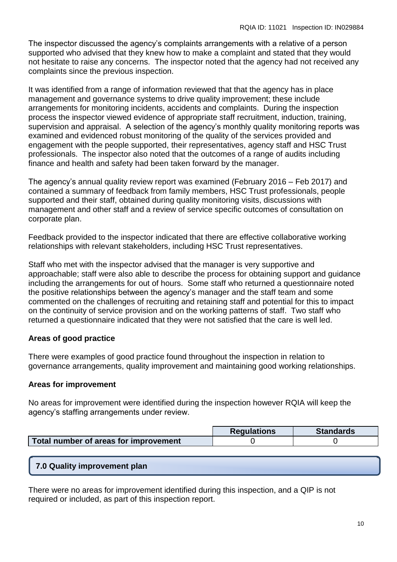The inspector discussed the agency's complaints arrangements with a relative of a person supported who advised that they knew how to make a complaint and stated that they would not hesitate to raise any concerns. The inspector noted that the agency had not received any complaints since the previous inspection.

It was identified from a range of information reviewed that that the agency has in place management and governance systems to drive quality improvement; these include arrangements for monitoring incidents, accidents and complaints. During the inspection process the inspector viewed evidence of appropriate staff recruitment, induction, training, supervision and appraisal. A selection of the agency's monthly quality monitoring reports was examined and evidenced robust monitoring of the quality of the services provided and engagement with the people supported, their representatives, agency staff and HSC Trust professionals. The inspector also noted that the outcomes of a range of audits including finance and health and safety had been taken forward by the manager.

The agency's annual quality review report was examined (February 2016 – Feb 2017) and contained a summary of feedback from family members, HSC Trust professionals, people supported and their staff, obtained during quality monitoring visits, discussions with management and other staff and a review of service specific outcomes of consultation on corporate plan.

Feedback provided to the inspector indicated that there are effective collaborative working relationships with relevant stakeholders, including HSC Trust representatives.

Staff who met with the inspector advised that the manager is very supportive and approachable; staff were also able to describe the process for obtaining support and guidance including the arrangements for out of hours. Some staff who returned a questionnaire noted the positive relationships between the agency's manager and the staff team and some commented on the challenges of recruiting and retaining staff and potential for this to impact on the continuity of service provision and on the working patterns of staff. Two staff who returned a questionnaire indicated that they were not satisfied that the care is well led.

# **Areas of good practice**

There were examples of good practice found throughout the inspection in relation to governance arrangements, quality improvement and maintaining good working relationships.

# **Areas for improvement**

No areas for improvement were identified during the inspection however RQIA will keep the agency's staffing arrangements under review.

|                                       | <b>Regulations</b> | <b>Standards</b> |
|---------------------------------------|--------------------|------------------|
| Total number of areas for improvement |                    |                  |

# **7.0 Quality improvement plan**

There were no areas for improvement identified during this inspection, and a QIP is not required or included, as part of this inspection report.